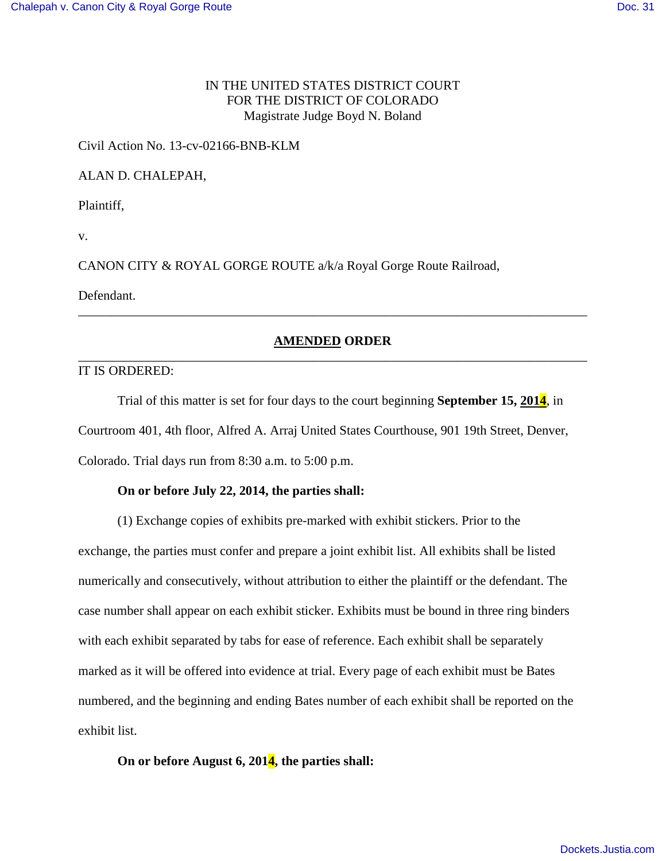# IN THE UNITED STATES DISTRICT COURT FOR THE DISTRICT OF COLORADO Magistrate Judge Boyd N. Boland

## Civil Action No. 13-cv-02166-BNB-KLM

#### ALAN D. CHALEPAH,

Plaintiff,

v.

CANON CITY & ROYAL GORGE ROUTE a/k/a Royal Gorge Route Railroad,

Defendant.

## **AMENDED ORDER** \_\_\_\_\_\_\_\_\_\_\_\_\_\_\_\_\_\_\_\_\_\_\_\_\_\_\_\_\_\_\_\_\_\_\_\_\_\_\_\_\_\_\_\_\_\_\_\_\_\_\_\_\_\_\_\_\_\_\_\_\_\_\_\_\_\_\_\_\_\_\_\_\_\_\_\_\_\_

\_\_\_\_\_\_\_\_\_\_\_\_\_\_\_\_\_\_\_\_\_\_\_\_\_\_\_\_\_\_\_\_\_\_\_\_\_\_\_\_\_\_\_\_\_\_\_\_\_\_\_\_\_\_\_\_\_\_\_\_\_\_\_\_\_\_\_\_\_\_\_\_\_\_\_\_\_\_

### IT IS ORDERED:

Trial of this matter is set for four days to the court beginning **September 15, 2014**, in Courtroom 401, 4th floor, Alfred A. Arraj United States Courthouse, 901 19th Street, Denver, Colorado. Trial days run from 8:30 a.m. to 5:00 p.m.

## **On or before July 22, 2014, the parties shall:**

 (1) Exchange copies of exhibits pre-marked with exhibit stickers. Prior to the exchange, the parties must confer and prepare a joint exhibit list. All exhibits shall be listed numerically and consecutively, without attribution to either the plaintiff or the defendant. The case number shall appear on each exhibit sticker. Exhibits must be bound in three ring binders with each exhibit separated by tabs for ease of reference. Each exhibit shall be separately marked as it will be offered into evidence at trial. Every page of each exhibit must be Bates numbered, and the beginning and ending Bates number of each exhibit shall be reported on the exhibit list.

# **On or before August 6, 2014, the parties shall:**